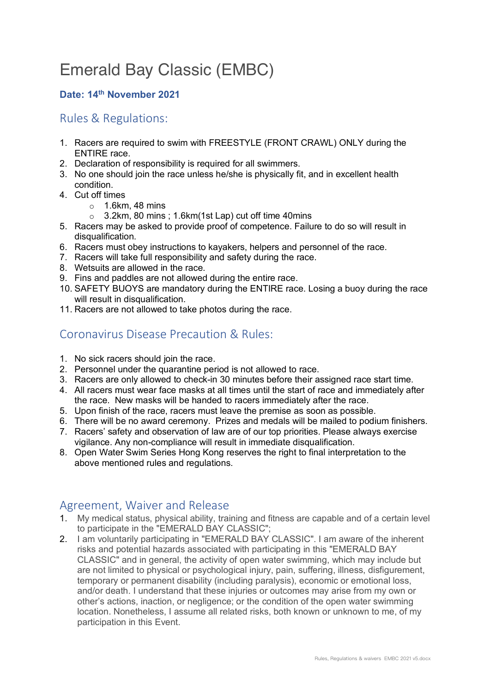# Emerald Bay Classic (EMBC)

#### **Date: 14th November 2021**

### Rules & Regulations:

- 1. Racers are required to swim with FREESTYLE (FRONT CRAWL) ONLY during the ENTIRE race.
- 2. Declaration of responsibility is required for all swimmers.
- 3. No one should join the race unless he/she is physically fit, and in excellent health condition.
- 4. Cut off times
	- $\circ$  1.6km, 48 mins
	- o 3.2km, 80 mins ; 1.6km(1st Lap) cut off time 40mins
- 5. Racers may be asked to provide proof of competence. Failure to do so will result in disqualification.
- 6. Racers must obey instructions to kayakers, helpers and personnel of the race.
- 7. Racers will take full responsibility and safety during the race.
- 8. Wetsuits are allowed in the race.
- 9. Fins and paddles are not allowed during the entire race.
- 10. SAFETY BUOYS are mandatory during the ENTIRE race. Losing a buoy during the race will result in disqualification.
- 11. Racers are not allowed to take photos during the race.

## Coronavirus Disease Precaution & Rules:

- 1. No sick racers should join the race.
- 2. Personnel under the quarantine period is not allowed to race.
- 3. Racers are only allowed to check-in 30 minutes before their assigned race start time.
- 4. All racers must wear face masks at all times until the start of race and immediately after the race. New masks will be handed to racers immediately after the race.
- 5. Upon finish of the race, racers must leave the premise as soon as possible.
- 6. There will be no award ceremony. Prizes and medals will be mailed to podium finishers.
- 7. Racers' safety and observation of law are of our top priorities. Please always exercise vigilance. Any non-compliance will result in immediate disqualification.
- 8. Open Water Swim Series Hong Kong reserves the right to final interpretation to the above mentioned rules and regulations.

# Agreement, Waiver and Release

- 1. My medical status, physical ability, training and fitness are capable and of a certain level to participate in the "EMERALD BAY CLASSIC";
- 2. I am voluntarily participating in "EMERALD BAY CLASSIC". I am aware of the inherent risks and potential hazards associated with participating in this "EMERALD BAY CLASSIC" and in general, the activity of open water swimming, which may include but are not limited to physical or psychological injury, pain, suffering, illness, disfigurement, temporary or permanent disability (including paralysis), economic or emotional loss, and/or death. I understand that these injuries or outcomes may arise from my own or other's actions, inaction, or negligence; or the condition of the open water swimming location. Nonetheless, I assume all related risks, both known or unknown to me, of my participation in this Event.